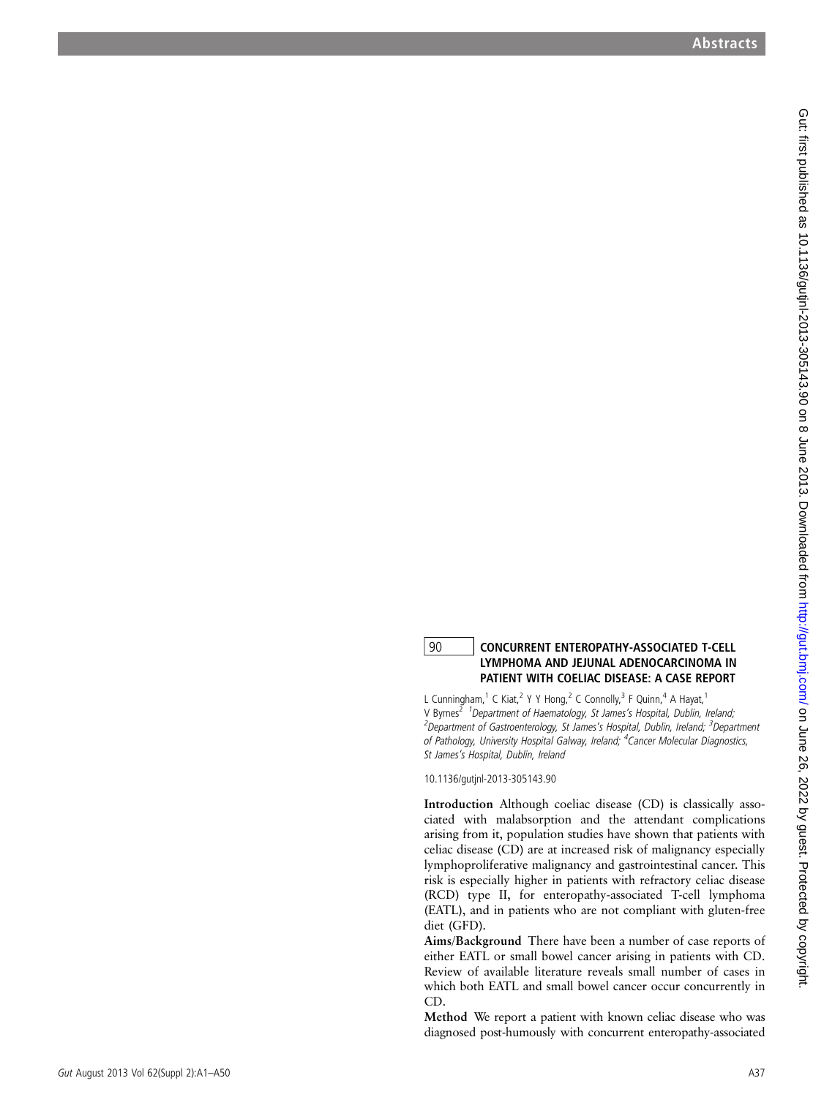## 90 CONCURRENT ENTEROPATHY-ASSOCIATED T-CELL LYMPHOMA AND JEJUNAL ADENOCARCINOMA IN PATIENT WITH COELIAC DISEASE: A CASE REPORT

L Cunningham,<sup>1</sup> C Kiat,<sup>2</sup> Y Y Hong,<sup>2</sup> C Connolly,<sup>3</sup> F Quinn,<sup>4</sup> A Hayat,<sup>1</sup> V Byrnes<sup>2</sup> <sup>1</sup> Department of Haematology, St James's Hospital, Dublin, Ireland; <sup>2</sup>Department of Gastroenterology, St James's Hospital, Dublin, Ireland; <sup>3</sup>Department of Pathology, University Hospital Galway, Ireland; <sup>4</sup>Cancer Molecular Diagnostics, St James 's Hospital, Dublin, Ireland

10.1136/gutjnl-2013-305143.90

Introduction Although coeliac disease (CD) is classically associated with malabsorption and the attendant complications arising from it, population studies have shown that patients with celiac disease (CD) are at increased risk of malignancy especially lymphoproliferative malignancy and gastrointestinal cancer. This risk is especially higher in patients with refractory celiac disease (RCD) type II, for enteropathy-associated T-cell lymphoma (EATL), and in patients who are not compliant with gluten-free diet (GFD).

Aims/Background There have been a number of case reports of either EATL or small bowel cancer arising in patients with CD. Review of available literature reveals small number of cases in which both EATL and small bowel cancer occur concurrently in CD.

Method We report a patient with known celiac disease who was diagnosed post-humously with concurrent enteropathy-associated